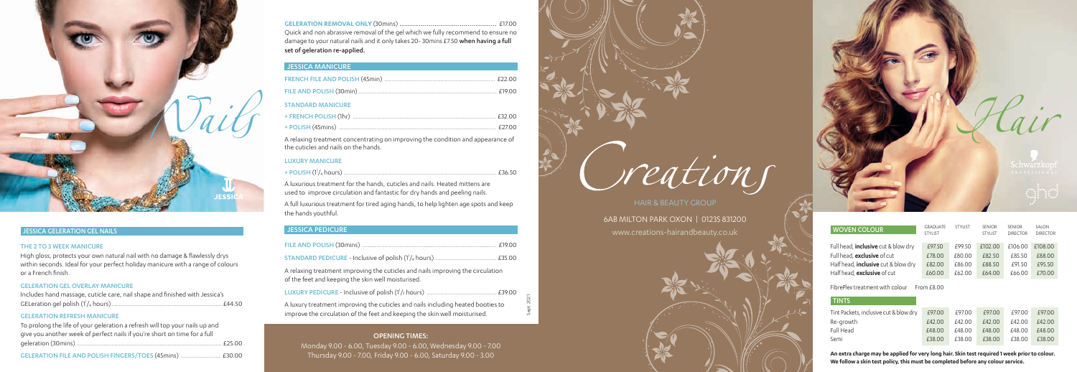# JESSICA GELERATION GEL NAILS

#### THE 2 TO 3 WEEK MANICURE

High gloss, protects your own natural nail with no damage & flawlessly drys within seconds. Ideal for your perfect holiday manicure with a range of colours or a French finish.

#### GELERATION GEL OVERLAY MANICURE

| Includes hand massage, cuticle care, nail shape and finished with Jessica's |  |
|-----------------------------------------------------------------------------|--|
| . £44.50                                                                    |  |

### GELERATION REFRESH MANICURE

| To prolong the life of your geleration a refresh will top your nails up and |        |
|-----------------------------------------------------------------------------|--------|
| give you another week of perfect nails if you're short on time for a full   |        |
|                                                                             | F25.00 |
|                                                                             |        |

GELERATION FILE AND POLISH FINGERS/TOES (45mins) .......................... £30.00



HAIR & BEAUTY GROUP 6AB MILTON PARK OXON | 01235 831200 www.creations-hairandbeauty.co.uk

# OPENING TIMES:

Monday 9.00 - 6.00, Tuesday 9.00 - 6.00, Wednesday 9.00 - 7.00 Thursday 9.00 - 7.00, Friday 9.00 - 6.00, Saturday 9.00 - 3.00

reations

Sept 2021

**GELERATION REMOVAL ONLY** (30mins) .................................................. £17.00 Quick and non abrassive removal of the gel which we fully recommend to ensure no damage to your natural nails and it only takes 20-30mins £7.50 when having a full set of geleration re-applied.

# JESSICA MANICURE

| <b>STANDARD MANICURE</b> |  |
|--------------------------|--|
|                          |  |
|                          |  |

A relaxing treatment concentrating on improving the condition and appearance of the cuticles and nails on the hands.

## LUXURY MANICURE

|--|--|--|--|--|

A luxurious treatment for the hands, cuticles and nails. Heated mittens are used to improve circulation and fantastic for dry hands and peeling nails.

A full luxurious treatment for tired aging hands, to help lighten age spots and keep the hands youthful.

# JESSICA PEDICURE

A relaxing treatment improving the cuticles and nails improving the circulation of the feet and keeping the skin well moisturised.

| A luxury treatment improving the cuticles and nails including heated booties to |  |
|---------------------------------------------------------------------------------|--|
| improve the circulation of the feet and keeping the skin well moisturised.      |  |



**An extra charge may be applied for very long hair. Skin test required 1 week prior to colour. We follow a skin test policy, this must be completed before any colour service.**

| <b>WOVEN COLOUR</b>                                                       | <b>GRADUATE</b><br><b>STYLIST</b> | <b>STYLIST</b>   | <b>SENIOR</b><br><b>STYLIST</b> | <b>SENIOR</b><br><b>DIRECTOR</b> | SAI ON<br><b>DIRECTOR</b> |  |
|---------------------------------------------------------------------------|-----------------------------------|------------------|---------------------------------|----------------------------------|---------------------------|--|
| Full head, <b>inclusive</b> cut & blow dry                                | £97.50                            | £99.50           | £102.00                         | £106.00                          | £108.00                   |  |
| Full head, exclusive of cut<br>Half head, <b>inclusive</b> cut & blow dry | £78.00<br>£82.00                  | £80.00<br>£86.00 | £82.50<br>£88.50                | £85.50<br>£91.50                 | £88.00<br>£95.50          |  |
| Half head. <b>exclusive</b> of cut                                        | £60.00                            | £62.00           | £64.00                          | £66.00                           | £70.00                    |  |
| FibrePlex treatment with colour<br>From f800                              |                                   |                  |                                 |                                  |                           |  |
| <b>TINTS</b>                                                              |                                   |                  |                                 |                                  |                           |  |
| Tint Packets, inclusive cut & blow dry                                    | £97.00                            | £97.00           | £97.00                          | £97.00                           | £97.00                    |  |
| Re-growth                                                                 | £42.00                            | £42.00           | £42.00                          | £42.00                           | £42.00                    |  |
| Full Head                                                                 | £48.00                            | £48.00           | £48.00                          | £48.00                           | £48.00                    |  |
| Semi                                                                      | £38.00                            | £38.00           | £38.00                          | £38.00                           | £38.00                    |  |